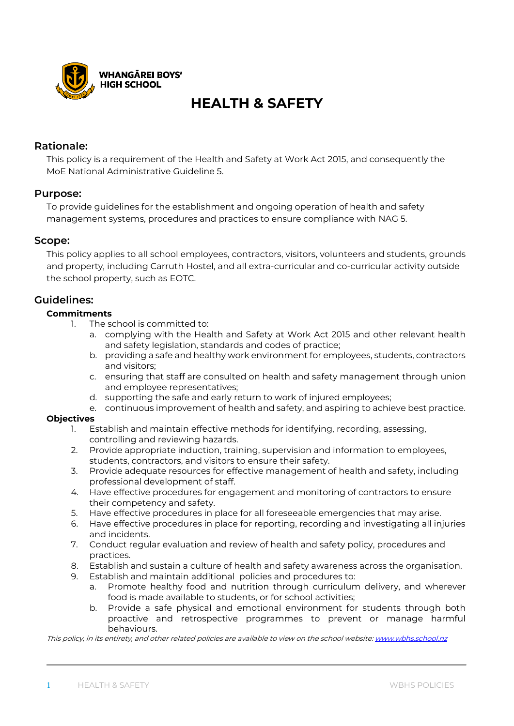

# **HEALTH & SAFETY**

## **Rationale:**

This policy is a requirement of the Health and Safety at Work Act 2015, and consequently the MoE National Administrative Guideline 5.

### **Purpose:**

To provide guidelines for the establishment and ongoing operation of health and safety management systems, procedures and practices to ensure compliance with NAG 5.

### **Scope:**

This policy applies to all school employees, contractors, visitors, volunteers and students, grounds and property, including Carruth Hostel, and all extra-curricular and co-curricular activity outside the school property, such as EOTC.

### **Guidelines:**

### **Commitments**

- 1. The school is committed to:
	- a. complying with the Health and Safety at Work Act 2015 and other relevant health and safety legislation, standards and codes of practice;
	- b. providing a safe and healthy work environment for employees, students, contractors and visitors;
	- c. ensuring that staff are consulted on health and safety management through union and employee representatives;
	- d. supporting the safe and early return to work of injured employees;
	- e. continuous improvement of health and safety, and aspiring to achieve best practice.

### **Objectives**

- 1. Establish and maintain effective methods for identifying, recording, assessing, controlling and reviewing hazards.
- 2. Provide appropriate induction, training, supervision and information to employees, students, contractors, and visitors to ensure their safety.
- 3. Provide adequate resources for effective management of health and safety, including professional development of staff.
- 4. Have effective procedures for engagement and monitoring of contractors to ensure their competency and safety.
- 5. Have effective procedures in place for all foreseeable emergencies that may arise.
- 6. Have effective procedures in place for reporting, recording and investigating all injuries and incidents.
- 7. Conduct regular evaluation and review of health and safety policy, procedures and practices.
- 8. Establish and sustain a culture of health and safety awareness across the organisation.
- 9. Establish and maintain additional policies and procedures to:
	- a. Promote healthy food and nutrition through curriculum delivery, and wherever food is made available to students, or for school activities;
	- b. Provide a safe physical and emotional environment for students through both proactive and retrospective programmes to prevent or manage harmful behaviours.

This policy, in its entirety, and other related policies are available to view on the school website[: www.wbhs.school.nz](http://www.wbhs.school.nz/)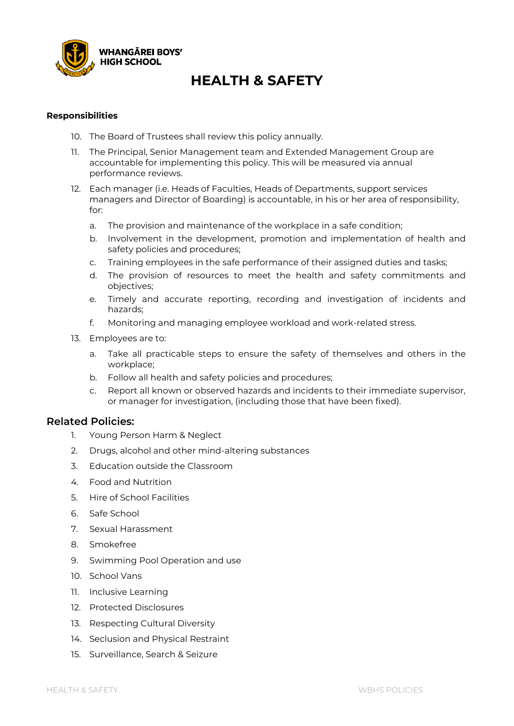

## **HEALTH & SAFETY**

#### **Responsibilities**

- 10. The Board of Trustees shall review this policy annually.
- 11. The Principal, Senior Management team and Extended Management Group are accountable for implementing this policy. This will be measured via annual performance reviews.
- 12. Each manager (i.e. Heads of Faculties, Heads of Departments, support services managers and Director of Boarding) is accountable, in his or her area of responsibility, for:
	- a. The provision and maintenance of the workplace in a safe condition;
	- b. Involvement in the development, promotion and implementation of health and safety policies and procedures;
	- c. Training employees in the safe performance of their assigned duties and tasks;
	- d. The provision of resources to meet the health and safety commitments and objectives;
	- e. Timely and accurate reporting, recording and investigation of incidents and hazards;
	- f. Monitoring and managing employee workload and work-related stress.
- 13. Employees are to:
	- a. Take all practicable steps to ensure the safety of themselves and others in the workplace;
	- b. Follow all health and safety policies and procedures;
	- c. Report all known or observed hazards and incidents to their immediate supervisor, or manager for investigation, (including those that have been fixed).

### **Related Policies:**

- 1. Young Person Harm & Neglect
- 2. Drugs, alcohol and other mind-altering substances
- 3. Education outside the Classroom
- 4. Food and Nutrition
- 5. Hire of School Facilities
- 6. Safe School
- 7. Sexual Harassment
- 8. Smokefree
- 9. Swimming Pool Operation and use
- 10. School Vans
- 11. Inclusive Learning
- 12. Protected Disclosures
- 13. Respecting Cultural Diversity
- 14. Seclusion and Physical Restraint
- 15. Surveillance, Search & Seizure